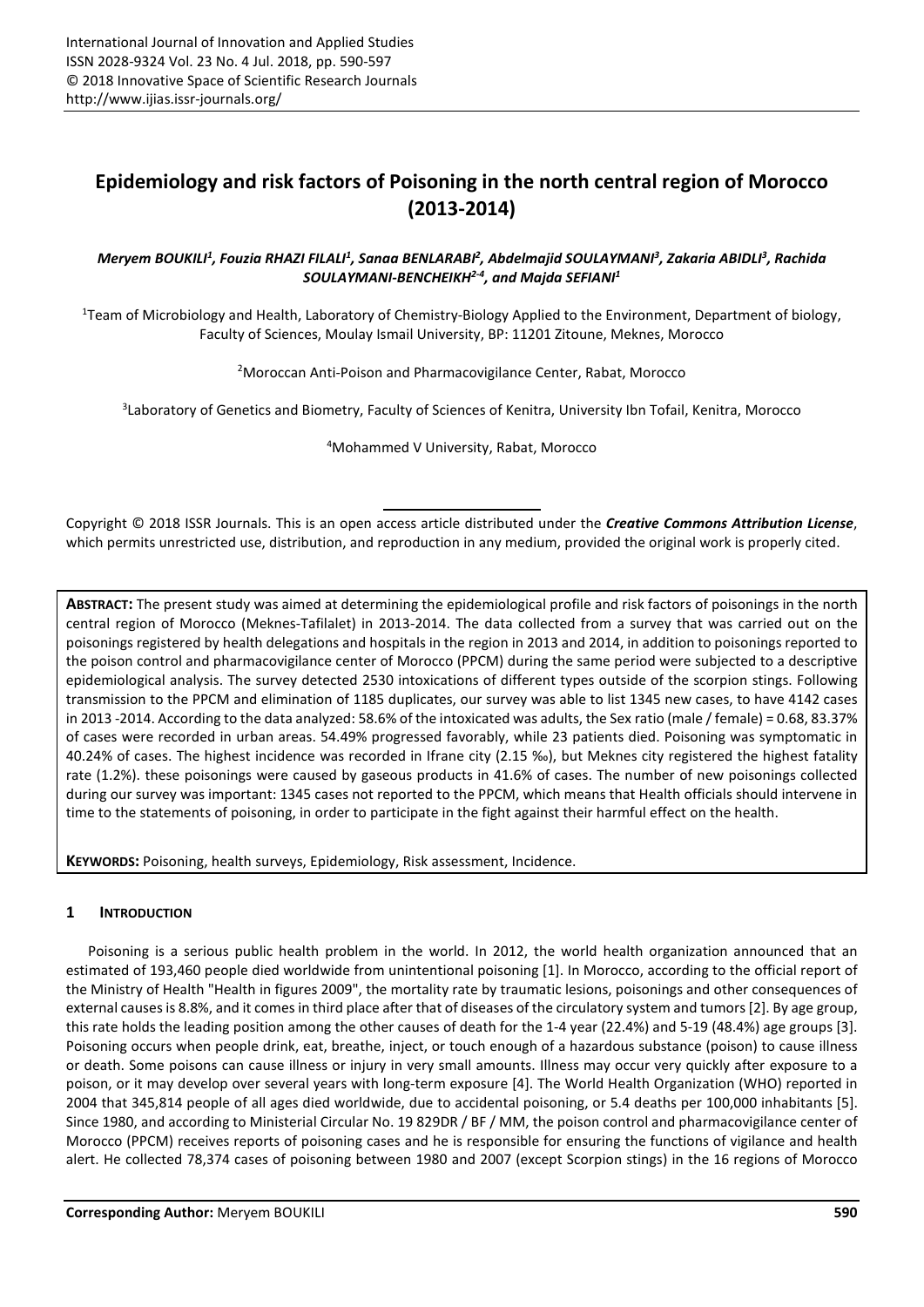# **Epidemiology and risk factors of Poisoning in the north central region of Morocco (2013-2014)**

# *Meryem BOUKILI<sup>1</sup> , Fouzia RHAZI FILALI<sup>1</sup> , Sanaa BENLARABI<sup>2</sup> , Abdelmajid SOULAYMANI<sup>3</sup> , Zakaria ABIDLI<sup>3</sup> , Rachida SOULAYMANI-BENCHEIKH2-4, and Majda SEFIANI<sup>1</sup>*

<sup>1</sup>Team of Microbiology and Health, Laboratory of Chemistry-Biology Applied to the Environment, Department of biology, Faculty of Sciences, Moulay Ismail University, BP: 11201 Zitoune, Meknes, Morocco

<sup>2</sup>Moroccan Anti-Poison and Pharmacovigilance Center, Rabat, Morocco

3 Laboratory of Genetics and Biometry, Faculty of Sciences of Kenitra, University Ibn Tofail, Kenitra, Morocco

<sup>4</sup>Mohammed V University, Rabat, Morocco

Copyright © 2018 ISSR Journals. This is an open access article distributed under the *Creative Commons Attribution License*, which permits unrestricted use, distribution, and reproduction in any medium, provided the original work is properly cited.

**ABSTRACT:** The present study was aimed at determining the epidemiological profile and risk factors of poisonings in the north central region of Morocco (Meknes-Tafilalet) in 2013-2014. The data collected from a survey that was carried out on the poisonings registered by health delegations and hospitals in the region in 2013 and 2014, in addition to poisonings reported to the poison control and pharmacovigilance center of Morocco (PPCM) during the same period were subjected to a descriptive epidemiological analysis. The survey detected 2530 intoxications of different types outside of the scorpion stings. Following transmission to the PPCM and elimination of 1185 duplicates, our survey was able to list 1345 new cases, to have 4142 cases in 2013 -2014. According to the data analyzed: 58.6% of the intoxicated was adults, the Sex ratio (male / female) = 0.68, 83.37% of cases were recorded in urban areas. 54.49% progressed favorably, while 23 patients died. Poisoning was symptomatic in 40.24% of cases. The highest incidence was recorded in Ifrane city (2.15 ‰), but Meknes city registered the highest fatality rate (1.2%). these poisonings were caused by gaseous products in 41.6% of cases. The number of new poisonings collected during our survey was important: 1345 cases not reported to the PPCM, which means that Health officials should intervene in time to the statements of poisoning, in order to participate in the fight against their harmful effect on the health.

**KEYWORDS:** Poisoning, health surveys, Epidemiology, Risk assessment, Incidence.

# **1 INTRODUCTION**

Poisoning is a serious public health problem in the world. In 2012, the world health organization announced that an estimated of 193,460 people died worldwide from unintentional poisoning [1]. In Morocco, according to the official report of the Ministry of Health "Health in figures 2009", the mortality rate by traumatic lesions, poisonings and other consequences of external causes is 8.8%, and it comes in third place after that of diseases of the circulatory system and tumors [2]. By age group, this rate holds the leading position among the other causes of death for the 1-4 year (22.4%) and 5-19 (48.4%) age groups [3]. Poisoning occurs when people drink, eat, breathe, inject, or touch enough of a hazardous substance (poison) to cause illness or death. Some poisons can cause illness or injury in very small amounts. Illness may occur very quickly after exposure to a poison, or it may develop over several years with long-term exposure [4]. The World Health Organization (WHO) reported in 2004 that 345,814 people of all ages died worldwide, due to accidental poisoning, or 5.4 deaths per 100,000 inhabitants [5]. Since 1980, and according to Ministerial Circular No. 19 829DR / BF / MM, the poison control and pharmacovigilance center of Morocco (PPCM) receives reports of poisoning cases and he is responsible for ensuring the functions of vigilance and health alert. He collected 78,374 cases of poisoning between 1980 and 2007 (except Scorpion stings) in the 16 regions of Morocco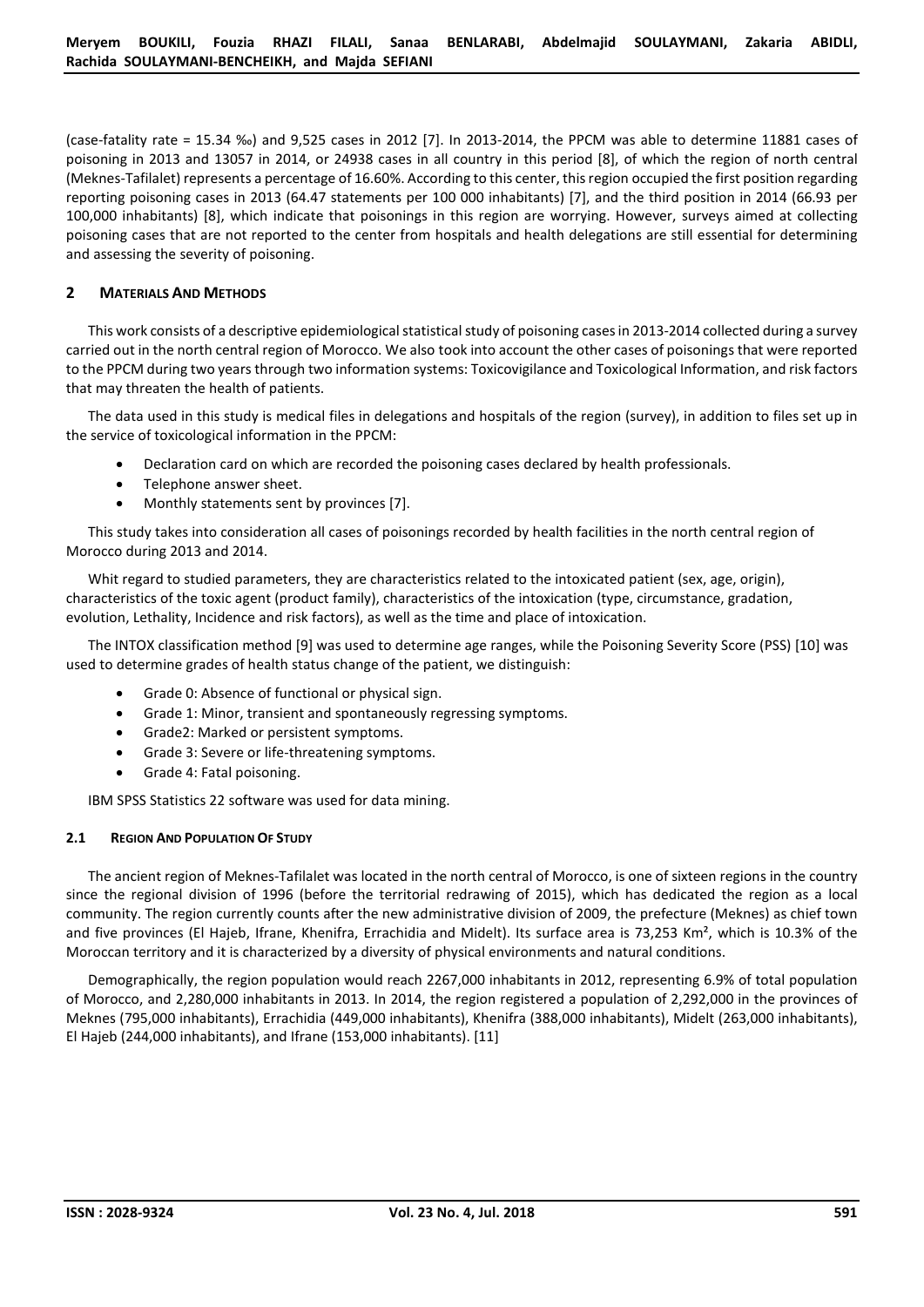(case-fatality rate = 15.34 ‰) and 9,525 cases in 2012 [7]. In 2013-2014, the PPCM was able to determine 11881 cases of poisoning in 2013 and 13057 in 2014, or 24938 cases in all country in this period [8], of which the region of north central (Meknes-Tafilalet) represents a percentage of 16.60%. According to this center, this region occupied the first position regarding reporting poisoning cases in 2013 (64.47 statements per 100 000 inhabitants) [7], and the third position in 2014 (66.93 per 100,000 inhabitants) [8], which indicate that poisonings in this region are worrying. However, surveys aimed at collecting poisoning cases that are not reported to the center from hospitals and health delegations are still essential for determining and assessing the severity of poisoning.

## **2 MATERIALS AND METHODS**

This work consists of a descriptive epidemiological statistical study of poisoning cases in 2013-2014 collected during a survey carried out in the north central region of Morocco. We also took into account the other cases of poisonings that were reported to the PPCM during two years through two information systems: Toxicovigilance and Toxicological Information, and risk factors that may threaten the health of patients.

The data used in this study is medical files in delegations and hospitals of the region (survey), in addition to files set up in the service of toxicological information in the PPCM:

- Declaration card on which are recorded the poisoning cases declared by health professionals.
- Telephone answer sheet.
- Monthly statements sent by provinces [7].

This study takes into consideration all cases of poisonings recorded by health facilities in the north central region of Morocco during 2013 and 2014.

Whit regard to studied parameters, they are characteristics related to the intoxicated patient (sex, age, origin), characteristics of the toxic agent (product family), characteristics of the intoxication (type, circumstance, gradation, evolution, Lethality, Incidence and risk factors), as well as the time and place of intoxication.

The INTOX classification method [9] was used to determine age ranges, while the Poisoning Severity Score (PSS) [10] was used to determine grades of health status change of the patient, we distinguish:

- Grade 0: Absence of functional or physical sign.
- Grade 1: Minor, transient and spontaneously regressing symptoms.
- Grade2: Marked or persistent symptoms.
- Grade 3: Severe or life-threatening symptoms.
- Grade 4: Fatal poisoning.

IBM SPSS Statistics 22 software was used for data mining.

## **2.1 REGION AND POPULATION OF STUDY**

The ancient region of Meknes-Tafilalet was located in the north central of Morocco, is one of sixteen regions in the country since the regional division of 1996 (before the territorial redrawing of 2015), which has dedicated the region as a local community. The region currently counts after the new administrative division of 2009, the prefecture (Meknes) as chief town and five provinces (El Hajeb, Ifrane, Khenifra, Errachidia and Midelt). Its surface area is 73,253 Km<sup>2</sup>, which is 10.3% of the Moroccan territory and it is characterized by a diversity of physical environments and natural conditions.

Demographically, the region population would reach 2267,000 inhabitants in 2012, representing 6.9% of total population of Morocco, and 2,280,000 inhabitants in 2013. In 2014, the region registered a population of 2,292,000 in the provinces of Meknes (795,000 inhabitants), Errachidia (449,000 inhabitants), Khenifra (388,000 inhabitants), Midelt (263,000 inhabitants), El Hajeb (244,000 inhabitants), and Ifrane (153,000 inhabitants). [11]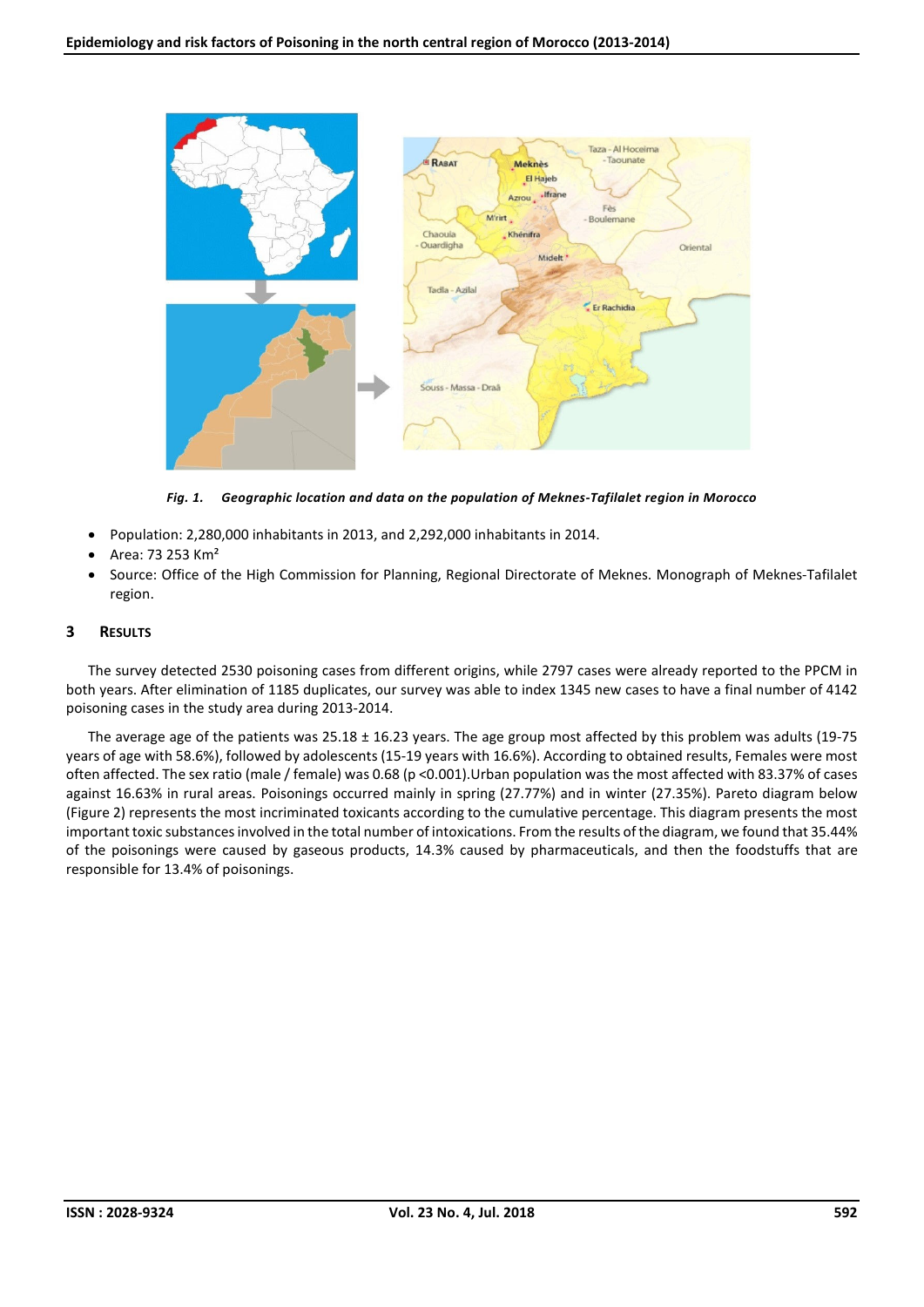

*Fig. 1. Geographic location and data on the population of Meknes-Tafilalet region in Morocco* 

- Population: 2,280,000 inhabitants in 2013, and 2,292,000 inhabitants in 2014.
- Area: 73 253 Km²
- Source: Office of the High Commission for Planning, Regional Directorate of Meknes. Monograph of Meknes-Tafilalet region.

# **3 RESULTS**

The survey detected 2530 poisoning cases from different origins, while 2797 cases were already reported to the PPCM in both years. After elimination of 1185 duplicates, our survey was able to index 1345 new cases to have a final number of 4142 poisoning cases in the study area during 2013-2014.

The average age of the patients was 25.18 ± 16.23 years. The age group most affected by this problem was adults (19-75 years of age with 58.6%), followed by adolescents (15-19 years with 16.6%). According to obtained results, Females were most often affected. The sex ratio (male / female) was 0.68 (p <0.001).Urban population was the most affected with 83.37% of cases against 16.63% in rural areas. Poisonings occurred mainly in spring (27.77%) and in winter (27.35%). Pareto diagram below (Figure 2) represents the most incriminated toxicants according to the cumulative percentage. This diagram presents the most important toxic substances involved in the total number of intoxications. From the results of the diagram, we found that 35.44% of the poisonings were caused by gaseous products, 14.3% caused by pharmaceuticals, and then the foodstuffs that are responsible for 13.4% of poisonings.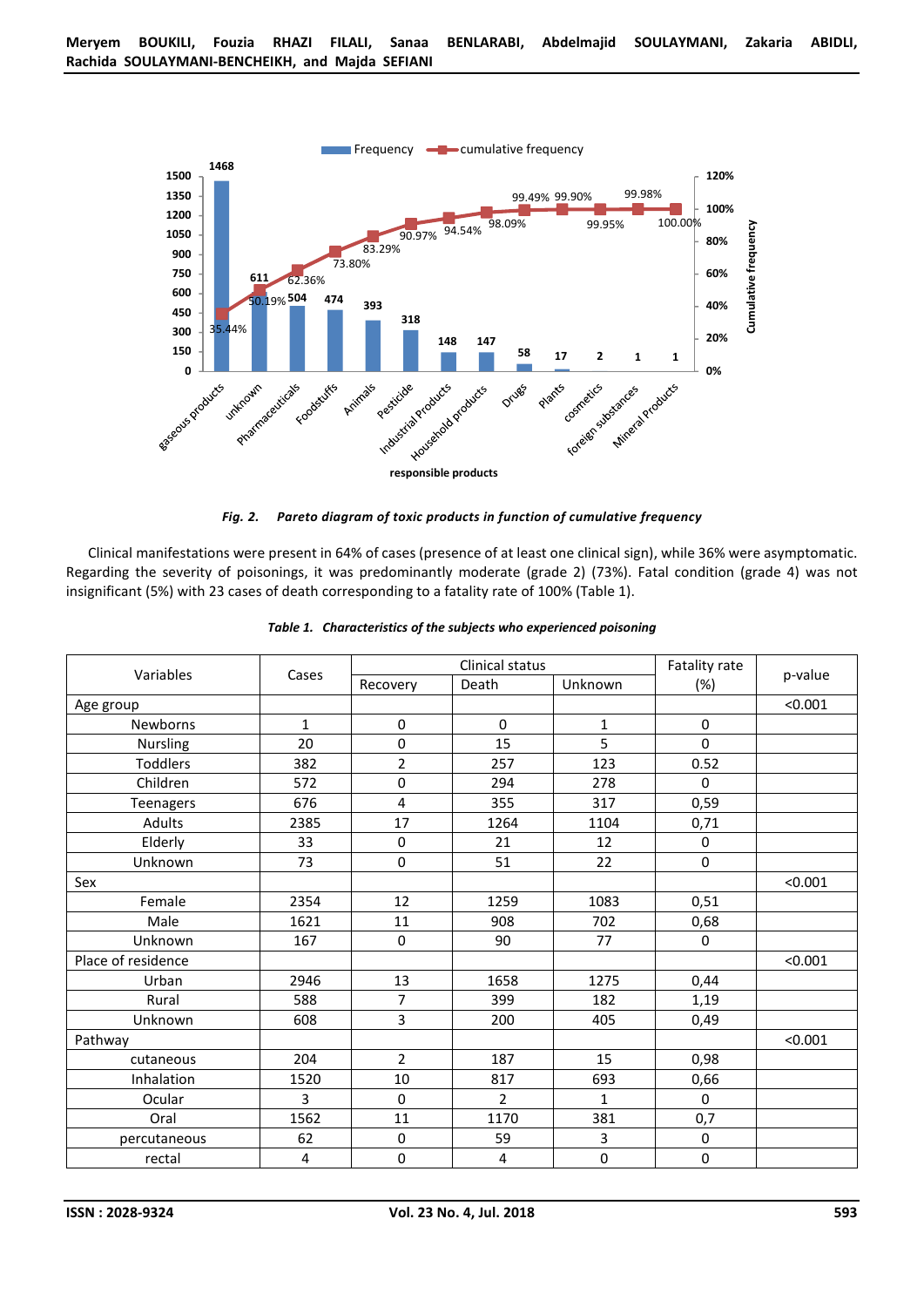

*Fig. 2. Pareto diagram of toxic products in function of cumulative frequency* 

Clinical manifestations were present in 64% of cases (presence of at least one clinical sign), while 36% were asymptomatic. Regarding the severity of poisonings, it was predominantly moderate (grade 2) (73%). Fatal condition (grade 4) was not insignificant (5%) with 23 cases of death corresponding to a fatality rate of 100% (Table 1).

| Variables          | Cases        | Clinical status |                |              | Fatality rate | p-value |
|--------------------|--------------|-----------------|----------------|--------------|---------------|---------|
|                    |              | Recovery        | Death          | Unknown      | $(\%)$        |         |
| Age group          |              |                 |                |              |               | < 0.001 |
| Newborns           | $\mathbf{1}$ | $\mathbf 0$     | 0              | $\mathbf{1}$ | 0             |         |
| Nursling           | 20           | 0               | 15             | 5            | $\pmb{0}$     |         |
| <b>Toddlers</b>    | 382          | $\overline{2}$  | 257            | 123          | 0.52          |         |
| Children           | 572          | 0               | 294            | 278          | 0             |         |
| Teenagers          | 676          | 4               | 355            | 317          | 0,59          |         |
| <b>Adults</b>      | 2385         | 17              | 1264           | 1104         | 0,71          |         |
| Elderly            | 33           | $\pmb{0}$       | 21             | 12           | 0             |         |
| Unknown            | 73           | $\mathbf 0$     | 51             | 22           | $\pmb{0}$     |         |
| Sex                |              |                 |                |              |               | < 0.001 |
| Female             | 2354         | 12              | 1259           | 1083         | 0,51          |         |
| Male               | 1621         | 11              | 908            | 702          | 0,68          |         |
| Unknown            | 167          | $\mathbf 0$     | 90             | 77           | 0             |         |
| Place of residence |              |                 |                |              |               | < 0.001 |
| Urban              | 2946         | 13              | 1658           | 1275         | 0,44          |         |
| Rural              | 588          | 7               | 399            | 182          | 1,19          |         |
| Unknown            | 608          | 3               | 200            | 405          | 0,49          |         |
| Pathway            |              |                 |                |              |               | < 0.001 |
| cutaneous          | 204          | $\overline{2}$  | 187            | 15           | 0,98          |         |
| Inhalation         | 1520         | $10\,$          | 817            | 693          | 0,66          |         |
| Ocular             | 3            | $\mathbf 0$     | $\overline{2}$ | $\mathbf{1}$ | 0             |         |
| Oral               | 1562         | 11              | 1170           | 381          | 0,7           |         |
| percutaneous       | 62           | $\pmb{0}$       | 59             | 3            | $\pmb{0}$     |         |
| rectal             | 4            | 0               | 4              | $\pmb{0}$    | $\pmb{0}$     |         |

| Table 1. Characteristics of the subjects who experienced poisoning |  |  |
|--------------------------------------------------------------------|--|--|
|                                                                    |  |  |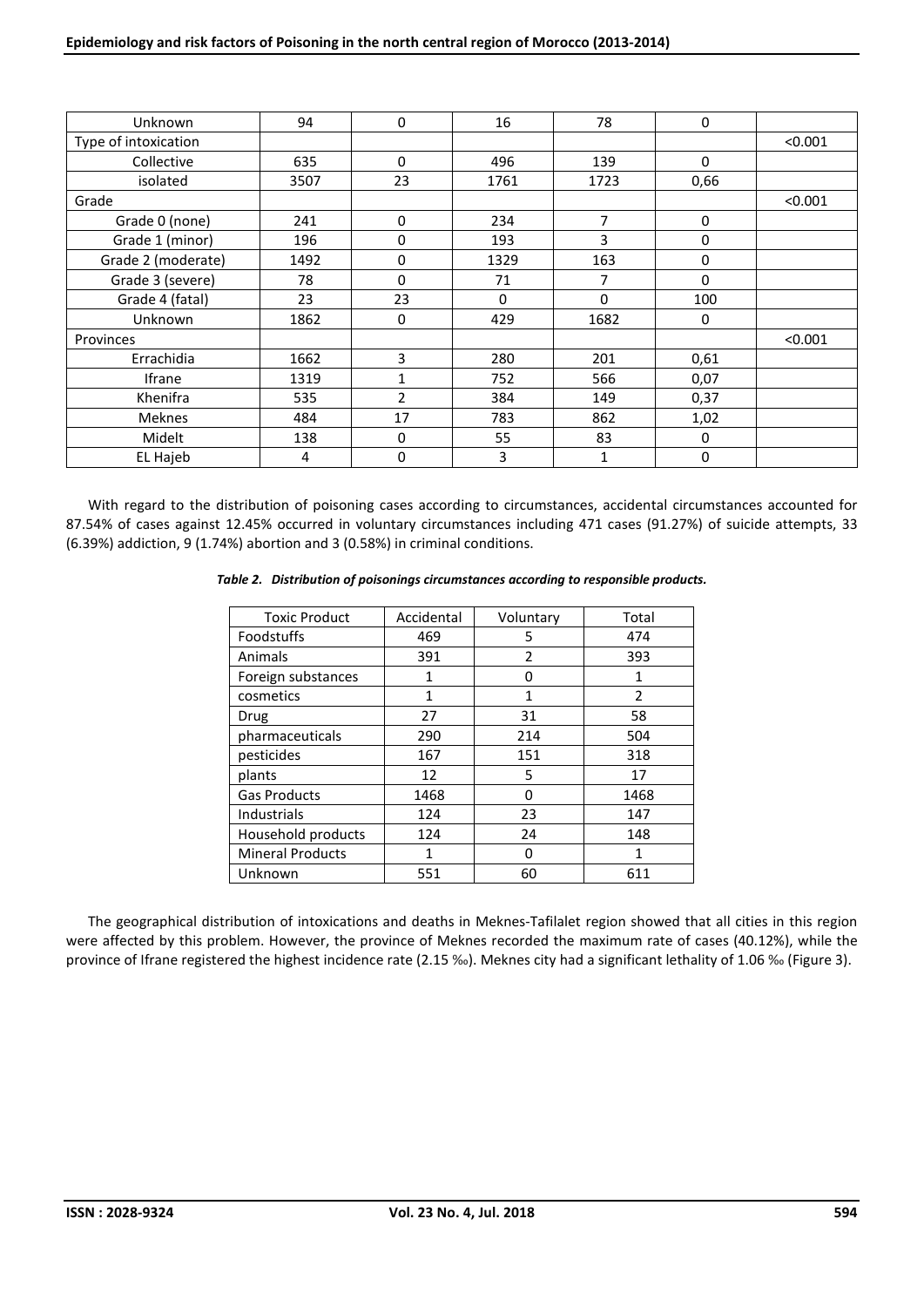| Unknown              | 94   | 0            | 16   | 78             | 0        |         |
|----------------------|------|--------------|------|----------------|----------|---------|
| Type of intoxication |      |              |      |                |          | < 0.001 |
| Collective           | 635  | 0            | 496  | 139            | $\Omega$ |         |
| isolated             | 3507 | 23           | 1761 | 1723           | 0,66     |         |
| Grade                |      |              |      |                |          | < 0.001 |
| Grade 0 (none)       | 241  | 0            | 234  | $\overline{7}$ | 0        |         |
| Grade 1 (minor)      | 196  | 0            | 193  | 3              | 0        |         |
| Grade 2 (moderate)   | 1492 | 0            | 1329 | 163            | 0        |         |
| Grade 3 (severe)     | 78   | 0            | 71   | 7              | 0        |         |
| Grade 4 (fatal)      | 23   | 23           | 0    | 0              | 100      |         |
| Unknown              | 1862 | 0            | 429  | 1682           | 0        |         |
| Provinces            |      |              |      |                |          | < 0.001 |
| Errachidia           | 1662 | 3            | 280  | 201            | 0,61     |         |
| <b>Ifrane</b>        | 1319 | $\mathbf{1}$ | 752  | 566            | 0,07     |         |
| Khenifra             | 535  | 2            | 384  | 149            | 0,37     |         |
| <b>Meknes</b>        | 484  | 17           | 783  | 862            | 1,02     |         |
| Midelt               | 138  | 0            | 55   | 83             | 0        |         |
| EL Hajeb             | 4    | 0            | 3    | 1              | 0        |         |

With regard to the distribution of poisoning cases according to circumstances, accidental circumstances accounted for 87.54% of cases against 12.45% occurred in voluntary circumstances including 471 cases (91.27%) of suicide attempts, 33 (6.39%) addiction, 9 (1.74%) abortion and 3 (0.58%) in criminal conditions.

## *Table 2. Distribution of poisonings circumstances according to responsible products.*

| <b>Toxic Product</b>    | Accidental | Voluntary | Total          |
|-------------------------|------------|-----------|----------------|
| Foodstuffs              | 469        | 5         | 474            |
| Animals                 | 391        | 2         | 393            |
| Foreign substances      | 1          | ŋ         | 1              |
| cosmetics               | 1          | 1         | $\mathfrak{p}$ |
| Drug                    | 27         | 31        | 58             |
| pharmaceuticals         | 290        | 214       | 504            |
| pesticides              | 167        | 151       | 318            |
| plants                  | 12         | 5         | 17             |
| <b>Gas Products</b>     | 1468       | O         | 1468           |
| Industrials             | 124        | 23        | 147            |
| Household products      | 124        | 24        | 148            |
| <b>Mineral Products</b> | 1          | ŋ         | 1              |
| Unknown                 | 551        | 60        | 611            |

The geographical distribution of intoxications and deaths in Meknes-Tafilalet region showed that all cities in this region were affected by this problem. However, the province of Meknes recorded the maximum rate of cases (40.12%), while the province of Ifrane registered the highest incidence rate (2.15 ‰). Meknes city had a significant lethality of 1.06 ‰ (Figure 3).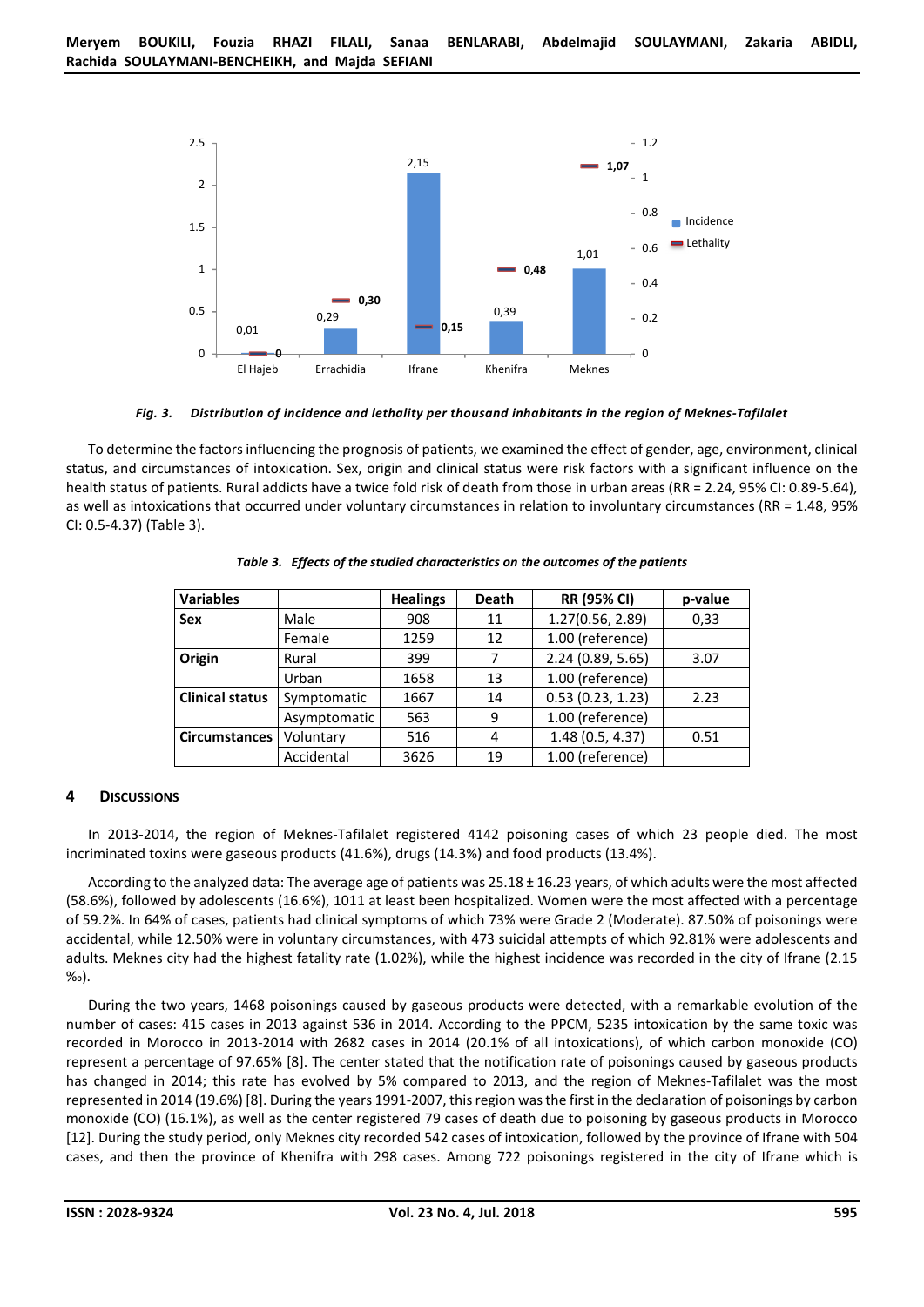

#### *Fig. 3. Distribution of incidence and lethality per thousand inhabitants in the region of Meknes-Tafilalet*

To determine the factors influencing the prognosis of patients, we examined the effect of gender, age, environment, clinical status, and circumstances of intoxication. Sex, origin and clinical status were risk factors with a significant influence on the health status of patients. Rural addicts have a twice fold risk of death from those in urban areas (RR = 2.24, 95% CI: 0.89-5.64), as well as intoxications that occurred under voluntary circumstances in relation to involuntary circumstances (RR = 1.48, 95% CI: 0.5-4.37) (Table 3).

| <b>Variables</b>       |              | <b>Healings</b> | <b>Death</b> | <b>RR (95% CI)</b> | p-value |
|------------------------|--------------|-----------------|--------------|--------------------|---------|
| Sex                    | Male         | 908             | 11           | 1.27(0.56, 2.89)   | 0,33    |
|                        | Female       | 1259            | 12           | 1.00 (reference)   |         |
| Origin                 | Rural        | 399             | 7            | 2.24 (0.89, 5.65)  | 3.07    |
|                        | Urban        | 1658            | 13           | 1.00 (reference)   |         |
| <b>Clinical status</b> | Symptomatic  | 1667            | 14           | 0.53(0.23, 1.23)   | 2.23    |
|                        | Asymptomatic | 563             | 9            | 1.00 (reference)   |         |
| <b>Circumstances</b>   | Voluntary    | 516             | 4            | 1.48 (0.5, 4.37)   | 0.51    |
|                        | Accidental   | 3626            | 19           | 1.00 (reference)   |         |

*Table 3. Effects of the studied characteristics on the outcomes of the patients* 

## **4 DISCUSSIONS**

In 2013-2014, the region of Meknes-Tafilalet registered 4142 poisoning cases of which 23 people died. The most incriminated toxins were gaseous products (41.6%), drugs (14.3%) and food products (13.4%).

According to the analyzed data: The average age of patients was  $25.18 \pm 16.23$  years, of which adults were the most affected (58.6%), followed by adolescents (16.6%), 1011 at least been hospitalized. Women were the most affected with a percentage of 59.2%. In 64% of cases, patients had clinical symptoms of which 73% were Grade 2 (Moderate). 87.50% of poisonings were accidental, while 12.50% were in voluntary circumstances, with 473 suicidal attempts of which 92.81% were adolescents and adults. Meknes city had the highest fatality rate (1.02%), while the highest incidence was recorded in the city of Ifrane (2.15 ‰).

During the two years, 1468 poisonings caused by gaseous products were detected, with a remarkable evolution of the number of cases: 415 cases in 2013 against 536 in 2014. According to the PPCM, 5235 intoxication by the same toxic was recorded in Morocco in 2013-2014 with 2682 cases in 2014 (20.1% of all intoxications), of which carbon monoxide (CO) represent a percentage of 97.65% [8]. The center stated that the notification rate of poisonings caused by gaseous products has changed in 2014; this rate has evolved by 5% compared to 2013, and the region of Meknes-Tafilalet was the most represented in 2014 (19.6%) [8]. During the years 1991-2007, this region was the first in the declaration of poisonings by carbon monoxide (CO) (16.1%), as well as the center registered 79 cases of death due to poisoning by gaseous products in Morocco [12]. During the study period, only Meknes city recorded 542 cases of intoxication, followed by the province of Ifrane with 504 cases, and then the province of Khenifra with 298 cases. Among 722 poisonings registered in the city of Ifrane which is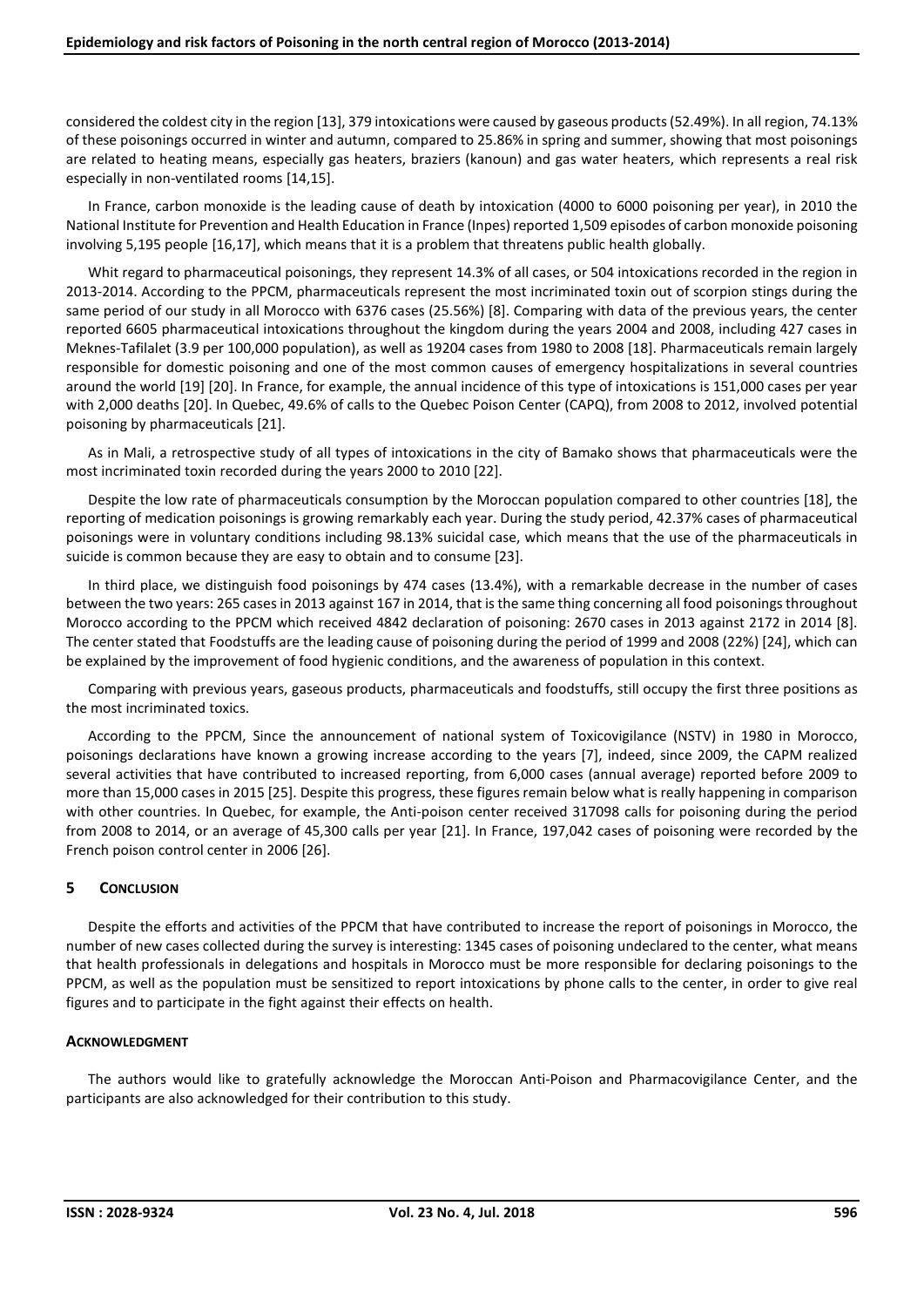considered the coldest city in the region [13], 379 intoxications were caused by gaseous products (52.49%). In all region, 74.13% of these poisonings occurred in winter and autumn, compared to 25.86% in spring and summer, showing that most poisonings are related to heating means, especially gas heaters, braziers (kanoun) and gas water heaters, which represents a real risk especially in non-ventilated rooms [14,15].

In France, carbon monoxide is the leading cause of death by intoxication (4000 to 6000 poisoning per year), in 2010 the National Institute for Prevention and Health Education in France (Inpes) reported 1,509 episodes of carbon monoxide poisoning involving 5,195 people [16,17], which means that it is a problem that threatens public health globally.

Whit regard to pharmaceutical poisonings, they represent 14.3% of all cases, or 504 intoxications recorded in the region in 2013-2014. According to the PPCM, pharmaceuticals represent the most incriminated toxin out of scorpion stings during the same period of our study in all Morocco with 6376 cases (25.56%) [8]. Comparing with data of the previous years, the center reported 6605 pharmaceutical intoxications throughout the kingdom during the years 2004 and 2008, including 427 cases in Meknes-Tafilalet (3.9 per 100,000 population), as well as 19204 cases from 1980 to 2008 [18]. Pharmaceuticals remain largely responsible for domestic poisoning and one of the most common causes of emergency hospitalizations in several countries around the world [19] [20]. In France, for example, the annual incidence of this type of intoxications is 151,000 cases per year with 2,000 deaths [20]. In Quebec, 49.6% of calls to the Quebec Poison Center (CAPQ), from 2008 to 2012, involved potential poisoning by pharmaceuticals [21].

As in Mali, a retrospective study of all types of intoxications in the city of Bamako shows that pharmaceuticals were the most incriminated toxin recorded during the years 2000 to 2010 [22].

Despite the low rate of pharmaceuticals consumption by the Moroccan population compared to other countries [18], the reporting of medication poisonings is growing remarkably each year. During the study period, 42.37% cases of pharmaceutical poisonings were in voluntary conditions including 98.13% suicidal case, which means that the use of the pharmaceuticals in suicide is common because they are easy to obtain and to consume [23].

In third place, we distinguish food poisonings by 474 cases (13.4%), with a remarkable decrease in the number of cases between the two years: 265 cases in 2013 against 167 in 2014, that is the same thing concerning all food poisonings throughout Morocco according to the PPCM which received 4842 declaration of poisoning: 2670 cases in 2013 against 2172 in 2014 [8]. The center stated that Foodstuffs are the leading cause of poisoning during the period of 1999 and 2008 (22%) [24], which can be explained by the improvement of food hygienic conditions, and the awareness of population in this context.

Comparing with previous years, gaseous products, pharmaceuticals and foodstuffs, still occupy the first three positions as the most incriminated toxics.

According to the PPCM, Since the announcement of national system of Toxicovigilance (NSTV) in 1980 in Morocco, poisonings declarations have known a growing increase according to the years [7], indeed, since 2009, the CAPM realized several activities that have contributed to increased reporting, from 6,000 cases (annual average) reported before 2009 to more than 15,000 cases in 2015 [25]. Despite this progress, these figures remain below what is really happening in comparison with other countries. In Quebec, for example, the Anti-poison center received 317098 calls for poisoning during the period from 2008 to 2014, or an average of 45,300 calls per year [21]. In France, 197,042 cases of poisoning were recorded by the French poison control center in 2006 [26].

# **5 CONCLUSION**

Despite the efforts and activities of the PPCM that have contributed to increase the report of poisonings in Morocco, the number of new cases collected during the survey is interesting: 1345 cases of poisoning undeclared to the center, what means that health professionals in delegations and hospitals in Morocco must be more responsible for declaring poisonings to the PPCM, as well as the population must be sensitized to report intoxications by phone calls to the center, in order to give real figures and to participate in the fight against their effects on health.

# **ACKNOWLEDGMENT**

The authors would like to gratefully acknowledge the Moroccan Anti-Poison and Pharmacovigilance Center, and the participants are also acknowledged for their contribution to this study.